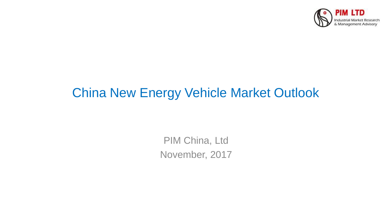

# China New Energy Vehicle Market Outlook

PIM China, Ltd November, 2017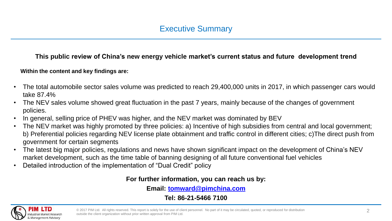#### **This public review of China's new energy vehicle market's current status and future development trend**

#### **Within the content and key findings are:**

- The total automobile sector sales volume was predicted to reach 29,400,000 units in 2017, in which passenger cars would take 87.4%
- The NEV sales volume showed great fluctuation in the past 7 years, mainly because of the changes of government policies.
- In general, selling price of PHEV was higher, and the NEV market was dominated by BEV
- The NEV market was highly promoted by three policies: a) Incentive of high subsidies from central and local government; b) Preferential policies regarding NEV license plate obtainment and traffic control in different cities; c)The direct push from government for certain segments
- The latest big major policies, regulations and news have shown significant impact on the development of China's NEV market development, such as the time table of banning designing of all future conventional fuel vehicles
- Detailed introduction of the implementation of "Dual Credit" policy

#### **For further information, you can reach us by:**

**Email: [tomward@pimchina.com](mailto:tomward@pimchina.com)**

**Tel: 86-21-5466 7100**

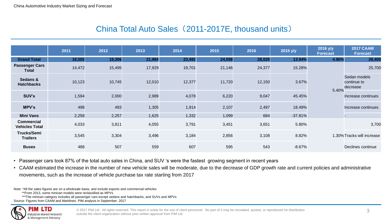# China Total Auto Sales (2011-2017E, thousand units)

|                                            | 2011   | 2012   | 2013   | 2014   | 2015   | 2016   | 2015 y/y  | 2016 y/y<br><b>Forecast</b> | <b>2017 CAAM</b><br>Forecast            |
|--------------------------------------------|--------|--------|--------|--------|--------|--------|-----------|-----------------------------|-----------------------------------------|
| <b>Grand Total</b>                         | 18,505 | 19,306 | 21,984 | 23,492 | 24,598 | 28,028 | 13.94%    | 4.90%                       | 29,400                                  |
| <b>Passenger Cars</b><br><b>Total</b>      | 14,472 | 15,495 | 17,929 | 19,701 | 21,146 | 24,377 | 15.28%    | 5.40%                       | 25,700                                  |
| Sedans &<br><b>Hatchbacks</b>              | 10,123 | 10,745 | 12,010 | 12,377 | 11,720 | 12,150 | 3.67%     |                             | Sedan models<br>continue to<br>decrease |
| SUV's                                      | 1,594  | 2,000  | 2,989  | 4,078  | 6,220  | 9,047  | 45.45%    |                             | Increase continues                      |
| MPV's                                      | 498    | 493    | 1,305  | 1,914  | 2,107  | 2,497  | 18.49%    |                             | Increase continues                      |
| <b>Mini Vans</b>                           | 2,258  | 2,257  | 1,625  | 1,332  | 1,099  | 684    | $-37.81%$ |                             |                                         |
| <b>Commercial</b><br><b>Vehicles Total</b> | 4,033  | 3,811  | 4,055  | 3,791  | 3,451  | 3,651  | 5.80%     |                             | 3,700                                   |
| Trucks/Semi<br><b>Trailers</b>             | 3,545  | 3,304  | 3,496  | 3,184  | 2,856  | 3,108  | 8.82%     |                             | 1.30% Tracks will increase              |
| <b>Buses</b>                               | 488    | 507    | 559    | 607    | 595    | 543    | $-8.67%$  |                             | Declines continue                       |

• Passenger cars took 87% of the total auto sales in China, and SUV 's were the fastest growing segment in recent years

• CAAM estimated the increase in the number of new vehicle sales will be moderate, due to the decrease of GDP growth rate and current policies and administrative movements, such as the increase of vehicle purchase tax rate starting from 2017

Note: \*All the sales figures are on a wholesale basis, and include exports and commercial vehicles

\*\*From 2013, some minivan models were reclassified as MPVs

\*\*\*The minivan category includes all passenger cars except sedans and hatchbacks, and SUVs and MPVs Source: Figures from CAAM and Marklines. PIM analysis in September, 2017

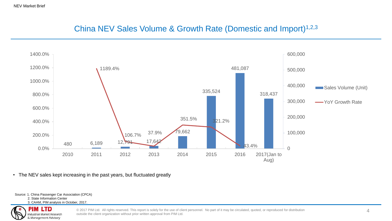# China NEV Sales Volume & Growth Rate (Domestic and Import)1,2,3



• The NEV sales kept increasing in the past years, but fluctuated greatly

Source: 1. China Passenger Car Association (CPCA) 2. State Information Center

3. CAAM, PIM analysis in October, 2017.

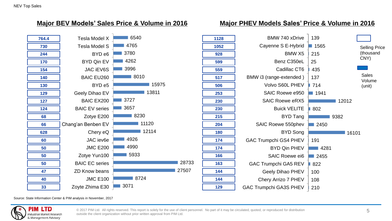

#### **Major BEV Models' Sales Price & Volume in 2016 Major PHEV Models Sales' Price & Volume in 2016**



Source: State Information Center & PIM analysis in November, 2017

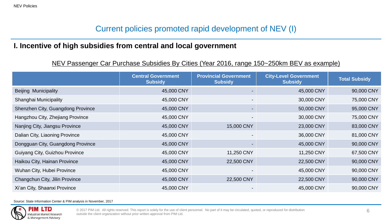# Current policies promoted rapid development of NEV (I)

#### **I. Incentive of high subsidies from central and local government**

#### NEV Passenger Car Purchase Subsidies By Cities (Year 2016, range 150~250km BEV as example)

|                                   | <b>Central Government</b><br><b>Subsidy</b> | <b>Provincial Government</b><br><b>Subsidy</b> | <b>City-Level Government</b><br><b>Subsidy</b> | <b>Total Subsidy</b> |
|-----------------------------------|---------------------------------------------|------------------------------------------------|------------------------------------------------|----------------------|
| <b>Beijing Municipality</b>       | 45,000 CNY                                  |                                                | 45,000 CNY                                     | 90,000 CNY           |
| Shanghai Municipality             | 45,000 CNY                                  |                                                | 30,000 CNY                                     | 75,000 CNY           |
| Shenzhen City, Guangdong Province | 45,000 CNY                                  |                                                | 50,000 CNY                                     | 95,000 CNY           |
| Hangzhou City, Zhejiang Province  | 45,000 CNY                                  |                                                | 30,000 CNY                                     | 75,000 CNY           |
| Nanjing City, Jiangsu Province    | 45,000 CNY                                  | 15,000 CNY                                     | 23,000 CNY                                     | 83,000 CNY           |
| Dalian City, Liaoning Province    | 45,000 CNY                                  |                                                | 36,000 CNY                                     | 81,000 CNY           |
| Dongguan City, Guangdong Province | 45,000 CNY                                  |                                                | 45,000 CNY                                     | 90,000 CNY           |
| Guiyang City, Guizhou Province    | 45,000 CNY                                  | 11,250 CNY                                     | 11,250 CNY                                     | 67,500 CNY           |
| Haikou City, Hainan Province      | 45,000 CNY                                  | 22,500 CNY                                     | 22,500 CNY                                     | 90,000 CNY           |
| Wuhan City, Hubei Province        | 45,000 CNY                                  |                                                | 45,000 CNY                                     | 90,000 CNY           |
| Changchun City, Jilin Province    | 45,000 CNY                                  | 22,500 CNY                                     | 22,500 CNY                                     | 90,000 CNY           |
| Xi'an City, Shaanxi Province      | 45,000 CNY                                  |                                                | 45,000 CNY                                     | 90,000 CNY           |

Source: State Information Center & PIM analysis in November, 2017

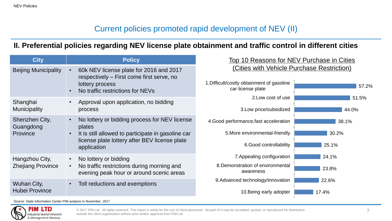# Current policies promoted rapid development of NEV (II)

#### **II. Preferential policies regarding NEV license plate obtainment and traffic control in different cities**

| <b>City</b>                             | <b>Policy</b>                                                                                                                               | Top 10 Reasons for NEV Purchase in Cities<br>(Cities with Vehicle Purchase Restriction)<br>1. Difficult/costly obtainment of gasoline<br>57.2%<br>car license plate |                |  |
|-----------------------------------------|---------------------------------------------------------------------------------------------------------------------------------------------|---------------------------------------------------------------------------------------------------------------------------------------------------------------------|----------------|--|
| <b>Beijing Municipality</b>             | 60k NEV license plate for 2016 and 2017<br>respectively - First come first serve, no<br>lottery process<br>No traffic restrictions for NEVs |                                                                                                                                                                     |                |  |
| Shanghai<br><b>Municipality</b>         | Approval upon application, no bidding<br>process                                                                                            | 2. Low cost of use<br>3. Low price/subsidized                                                                                                                       | 51.5%<br>44.0% |  |
| Shenzhen City,<br>Guangdong<br>Province | No lottery or bidding process for NEV license<br>$\bullet$<br>plates                                                                        | 4. Good performance, fast acceleration                                                                                                                              | 38.1%          |  |
|                                         | It is still allowed to participate in gasoline car<br>$\bullet$                                                                             | 5. More environmental-friendly                                                                                                                                      | 30.2%          |  |
|                                         | license plate lottery after BEV license plate<br>application                                                                                | 6.Good controllability                                                                                                                                              | 25.1%          |  |
| Hangzhou City,                          | No lottery or bidding                                                                                                                       | 7. Appealing configuration                                                                                                                                          | 24.1%          |  |
| <b>Zhejiang Province</b>                | No traffic restrictions during morning and<br>$\bullet$<br>evening peak hour or around scenic areas                                         | 8. Demonstration of environmental<br>awareness                                                                                                                      | 23.8%          |  |
| Wuhan City,                             | Toll reductions and exemptions                                                                                                              | 9. Advanced technology/innovation                                                                                                                                   | 22.6%          |  |
| <b>Hubei Province</b>                   |                                                                                                                                             | 10. Being early adopter                                                                                                                                             | 17.4%          |  |

Source: State Information Center PIM analysis in November, 2017

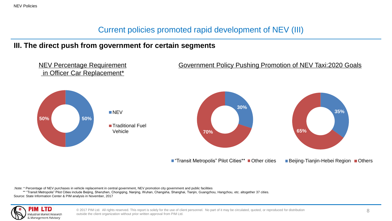#### Current policies promoted rapid development of NEV (III)

#### **III. The direct push from government for certain segments**



.Note: \* Percentage of NEV purchases in vehicle replacement in central government, NEV promotion city government and public facilities

 \*\* "Transit Metropolis" Pilot Cities include Beijing, Shenzhen, Chongqing, Nanjing, Wuhan, Changsha, Shanghai, Tianjin, Guangzhou, Hangzhou, etc. altogether 37 cities. Source: State Information Center & PIM analysis in November, 2017

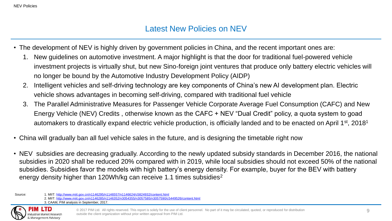#### Latest New Policies on NEV

- The development of NEV is highly driven by government policies in China, and the recent important ones are:
	- 1. New guidelines on automotive investment. A major highlight is that the door for traditional fuel-powered vehicle investment projects is virtually shut, but new Sino-foreign joint ventures that produce only battery electric vehicles will no longer be bound by the Automotive Industry Development Policy (AIDP)
	- 2. Intelligent vehicles and self-driving technology are key components of China's new AI development plan. Electric vehicle shows advantages in becoming self-driving, compared with traditional fuel vehicle
	- 3. The Parallel Administrative Measures for Passenger Vehicle Corporate Average Fuel Consumption (CAFC) and New Energy Vehicle (NEV) Credits , otherwise known as the CAFC + NEV "Dual Credit" policy, a quota system to goad automakers to drastically expand electric vehicle production, is officially landed and to be enacted on April 1<sup>st</sup>, 2018<sup>1</sup>
- China will gradually ban all fuel vehicle sales in the future, and is designing the timetable right now
- NEV subsidies are decreasing gradually. According to the newly updated subsidy standards in December 2016, the national subsidies in 2020 shall be reduced 20% compared with in 2019, while local subsidies should not exceed 50% of the national subsidies. Subsidies favor the models with high battery's energy density. For example, buyer for the BEV with battery energy density higher than 120Wh/kg can receive 1.1 times subsidies<sup>2</sup>

Source: 1. MIIT:<http://www.miit.gov.cn/n1146295/n1146557/n1146624/c5824932/content.html> 2. MIIT:<http://www.miit.gov.cn/n1146285/n1146352/n3054355/n3057585/n3057590/c5449526/content.html> 3. CAAM, PIM analysis in September, 2017.

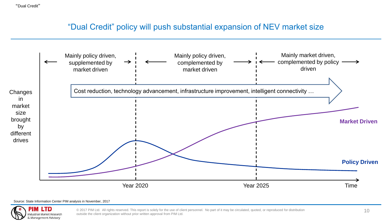#### "Dual Credit" policy will push substantial expansion of NEV market size



#### Source: State Information Center PIM analysis in November, 2017

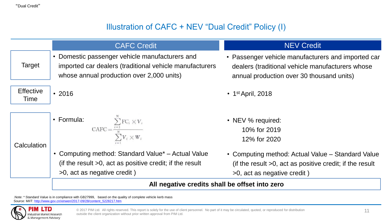# Illustration of CAFC + NEV "Dual Credit" Policy (I)

|                          | <b>CAFC Credit</b>                                                                                                                                                | <b>NEV Credit</b>                                                                                                                                   |
|--------------------------|-------------------------------------------------------------------------------------------------------------------------------------------------------------------|-----------------------------------------------------------------------------------------------------------------------------------------------------|
| Target                   | Domestic passenger vehicle manufacturers and<br>$\bullet$<br>imported car dealers (traditional vehicle manufacturers<br>whose annual production over 2,000 units) | • Passenger vehicle manufacturers and imported car<br>dealers (traditional vehicle manufacturers whose<br>annual production over 30 thousand units) |
| <b>Effective</b><br>Time | $\cdot$ 2016                                                                                                                                                      | $\cdot$ 1 <sup>st</sup> April, 2018                                                                                                                 |
| Calculation              | • Formula: $\text{CAFC} = \frac{\sum_{i=1}^{n} \text{FC}_i \times V_i}{N}$<br>$\sum V_i \times W_i$                                                               | • NEV % required:<br>10% for 2019<br>12% for 2020                                                                                                   |
|                          | • Computing method: Standard Value* – Actual Value<br>(if the result $>0$ , act as positive credit; if the result<br>>0, act as negative credit)                  | • Computing method: Actual Value – Standard Value<br>(if the result $>0$ , act as positive credit; if the result<br>>0, act as negative credit)     |
|                          | All negative credits shall be offset into zero                                                                                                                    |                                                                                                                                                     |

.Note: \* Standard Value is in compliance with GB27999, based on the quality of complete vehicle kerb mass Source: MIIT: [http://www.gov.cn/xinwen/2017-09/28/content\\_5228217.htm](http://www.gov.cn/xinwen/2017-09/28/content_5228217.htm)

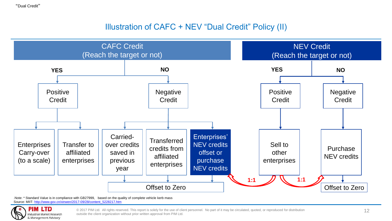"Dual Credit"

# Illustration of CAFC + NEV "Dual Credit" Policy (II)



.Note: \* Standard Value is in compliance with GB27999, based on the quality of complete vehicle kerb mass Source: MIIT: [http://www.gov.cn/xinwen/2017-09/28/content\\_5228217.htm](http://www.gov.cn/xinwen/2017-09/28/content_5228217.htm)

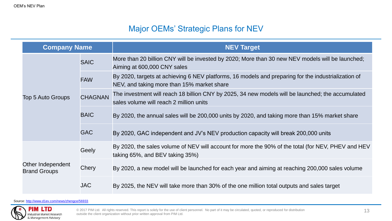# Major OEMs' Strategic Plans for NEV

| <b>Company Name</b>                      |                | <b>NEV Target</b>                                                                                                                                 |  |  |  |
|------------------------------------------|----------------|---------------------------------------------------------------------------------------------------------------------------------------------------|--|--|--|
|                                          | <b>SAIC</b>    | More than 20 billion CNY will be invested by 2020; More than 30 new NEV models will be launched;<br>Aiming at 600,000 CNY sales                   |  |  |  |
|                                          | <b>FAW</b>     | By 2020, targets at achieving 6 NEV platforms, 16 models and preparing for the industrialization of<br>NEV, and taking more than 15% market share |  |  |  |
| Top 5 Auto Groups                        | <b>CHAGNAN</b> | The investment will reach 18 billion CNY by 2025, 34 new models will be launched; the accumulated<br>sales volume will reach 2 million units      |  |  |  |
|                                          | <b>BAIC</b>    | By 2020, the annual sales will be 200,000 units by 2020, and taking more than 15% market share                                                    |  |  |  |
|                                          | <b>GAC</b>     | By 2020, GAC independent and JV's NEV production capacity will break 200,000 units                                                                |  |  |  |
|                                          | Geely          | By 2020, the sales volume of NEV will account for more the 90% of the total (for NEV, PHEV and HEV<br>taking $65\%$ , and BEV taking $35\%$ )     |  |  |  |
| Other Independent<br><b>Brand Groups</b> | Chery          | By 2020, a new model will be launched for each year and aiming at reaching 200,000 sales volume                                                   |  |  |  |
|                                          | <b>JAC</b>     | By 2025, the NEV will take more than 30% of the one million total outputs and sales target                                                        |  |  |  |

Source: <http://www.d1ev.com/news/zhengce/56933>

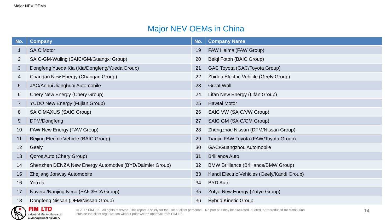# Major NEV OEMs in China

| No.             | <b>Company</b>                                           | No. | <b>Company Name</b>                          |
|-----------------|----------------------------------------------------------|-----|----------------------------------------------|
|                 | <b>SAIC Motor</b>                                        | 19  | FAW Haima (FAW Group)                        |
| $\overline{2}$  | SAIC-GM-Wuling (SAIC/GM/Guangxi Group)                   | 20  | Beiqi Foton (BAIC Group)                     |
| 3               | Dongfeng Yueda Kia (Kia/Dongfeng/Yueda Group)            | 21  | GAC Toyota (GAC/Toyota Group)                |
| 4               | Changan New Energy (Changan Group)                       | 22  | Zhidou Electric Vehicle (Geely Group)        |
| 5 <sup>5</sup>  | JAC/Anhui Jianghuai Automobile                           | 23  | <b>Great Wall</b>                            |
| 6               | Chery New Energy (Chery Group)                           | 24  | Lifan New Energy (Lifan Group)               |
| $\overline{7}$  | <b>YUDO New Energy (Fujian Group)</b>                    | 25  | Hawtai Motor                                 |
| 8               | <b>SAIC MAXUS (SAIC Group)</b>                           | 26  | SAIC VW (SAIC/VW Group)                      |
| 9               | DFM/Dongfeng                                             | 27  | SAIC GM (SAIC/GM Group)                      |
| 10              | FAW New Energy (FAW Group)                               | 28  | Zhengzhou Nissan (DFM/Nissan Group)          |
| 11              | Beijing Electric Vehicle (BAIC Group)                    | 29  | Tianjin FAW Toyota (FAW/Toyota Group)        |
| 12 <sub>2</sub> | Geely                                                    | 30  | GAC/Guangzhou Automobile                     |
| 13              | Qoros Auto (Chery Group)                                 | 31  | <b>Brilliance Auto</b>                       |
| 14              | Shenzhen DENZA New Energy Automotive (BYD/Daimler Group) | 32  | <b>BMW Brilliance (Brilliance/BMW Group)</b> |
| 15              | Zhejiang Jonway Automobile                               | 33  | Kandi Electric Vehicles (Geely/Kandi Group)  |
| 16              | Youxia                                                   | 34  | <b>BYD Auto</b>                              |
| 17              | Naveco/Nanjing Iveco (SAIC/FCA Group)                    | 35  | Zotye New Energy (Zotye Group)               |
| 18              | Dongfeng Nissan (DFM/Nissan Group)                       | 36  | <b>Hybrid Kinetic Group</b>                  |

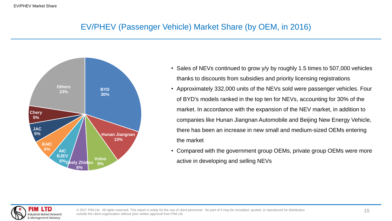# EV/PHEV (Passenger Vehicle) Market Share (by OEM, in 2016)



- Sales of NEVs continued to grow y/y by roughly 1.5 times to 507,000 vehicles thanks to discounts from subsidies and priority licensing registrations
- Approximately 332,000 units of the NEVs sold were passenger vehicles. Four of BYD's models ranked in the top ten for NEVs, accounting for 30% of the market. In accordance with the expansion of the NEV market, in addition to companies like Hunan Jiangnan Automobile and Beijing New Energy Vehicle, there has been an increase in new small and medium-sized OEMs entering the market
- Compared with the government group OEMs, private group OEMs were more active in developing and selling NEVs